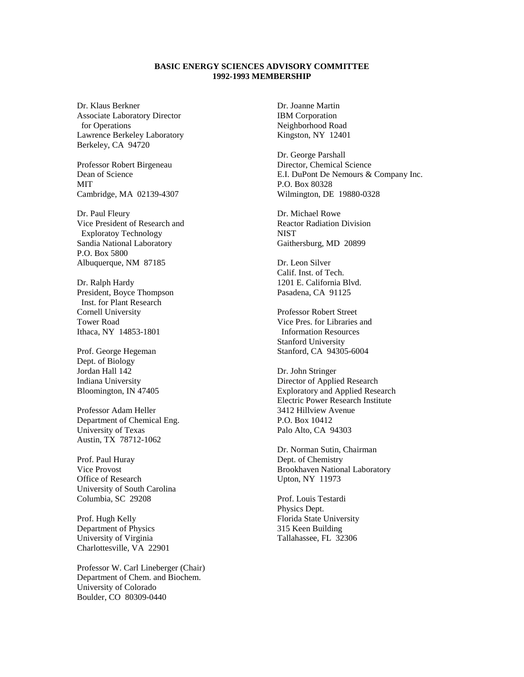## **BASIC ENERGY SCIENCES ADVISORY COMMITTEE 1992-1993 MEMBERSHIP**

Dr. Klaus Berkner Associate Laboratory Director for Operations Lawrence Berkeley Laboratory Berkeley, CA 94720

Professor Robert Birgeneau Dean of Science MIT Cambridge, MA 02139-4307

Dr. Paul Fleury Vice President of Research and Exploratoy Technology Sandia National Laboratory P.O. Box 5800 Albuquerque, NM 87185

Dr. Ralph Hardy President, Boyce Thompson Inst. for Plant Research Cornell University Tower Road Ithaca, NY 14853-1801

Prof. George Hegeman Dept. of Biology Jordan Hall 142 Indiana University Bloomington, IN 47405

Professor Adam Heller Department of Chemical Eng. University of Texas Austin, TX 78712-1062

Prof. Paul Huray Vice Provost Office of Research University of South Carolina Columbia, SC 29208

Prof. Hugh Kelly Department of Physics University of Virginia Charlottesville, VA 22901

Professor W. Carl Lineberger (Chair) Department of Chem. and Biochem. University of Colorado Boulder, CO 80309-0440

Dr. Joanne Martin IBM Corporation Neighborhood Road Kingston, NY 12401

Dr. George Parshall Director, Chemical Science E.I. DuPont De Nemours & Company Inc. P.O. Box 80328 Wilmington, DE 19880-0328

Dr. Michael Rowe Reactor Radiation Division **NIST** Gaithersburg, MD 20899

Dr. Leon Silver Calif. Inst. of Tech. 1201 E. California Blvd. Pasadena, CA 91125

Professor Robert Street Vice Pres. for Libraries and Information Resources Stanford University Stanford, CA 94305-6004

Dr. John Stringer Director of Applied Research Exploratory and Applied Research Electric Power Research Institute 3412 Hillview Avenue P.O. Box 10412 Palo Alto, CA 94303

Dr. Norman Sutin, Chairman Dept. of Chemistry Brookhaven National Laboratory Upton, NY 11973

Prof. Louis Testardi Physics Dept. Florida State University 315 Keen Building Tallahassee, FL 32306